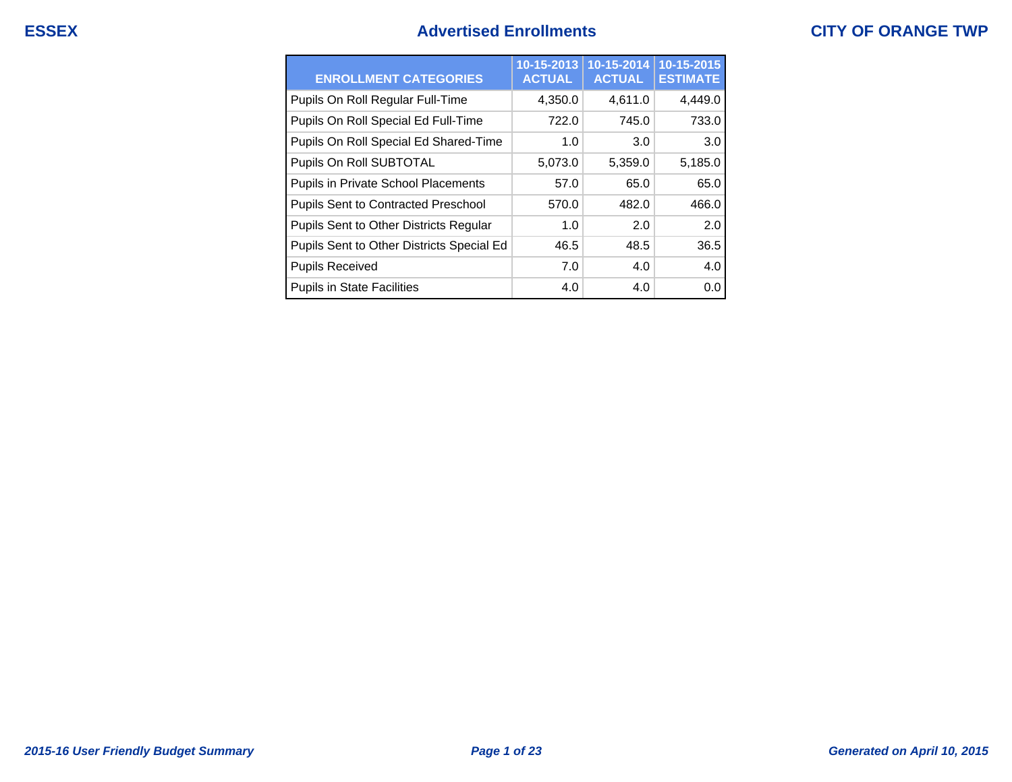## **ESSEX Advertised Enrollments CITY OF ORANGE TWP**

| <b>ENROLLMENT CATEGORIES</b>               | 10-15-2013<br><b>ACTUAL</b> | $10 - 15 - 2014$<br><b>ACTUAL</b> | 10-15-2015<br><b>ESTIMATE</b> |
|--------------------------------------------|-----------------------------|-----------------------------------|-------------------------------|
| Pupils On Roll Regular Full-Time           | 4,350.0                     | 4,611.0                           | 4,449.0                       |
| Pupils On Roll Special Ed Full-Time        | 722.0                       | 745.0                             | 733.0                         |
| Pupils On Roll Special Ed Shared-Time      | 1.0                         | 3.0                               | 3.0                           |
| Pupils On Roll SUBTOTAL                    | 5,073.0                     | 5,359.0                           | 5,185.0                       |
| Pupils in Private School Placements        | 57.0                        | 65.0                              | 65.0                          |
| <b>Pupils Sent to Contracted Preschool</b> | 570.0                       | 482.0                             | 466.0                         |
| Pupils Sent to Other Districts Regular     | 1.0                         | 2.0                               | 2.0                           |
| Pupils Sent to Other Districts Special Ed  | 46.5                        | 48.5                              | 36.5                          |
| <b>Pupils Received</b>                     | 7.0                         | 4.0                               | 4.0                           |
| <b>Pupils in State Facilities</b>          | 4.0                         | 4.0                               | 0.0                           |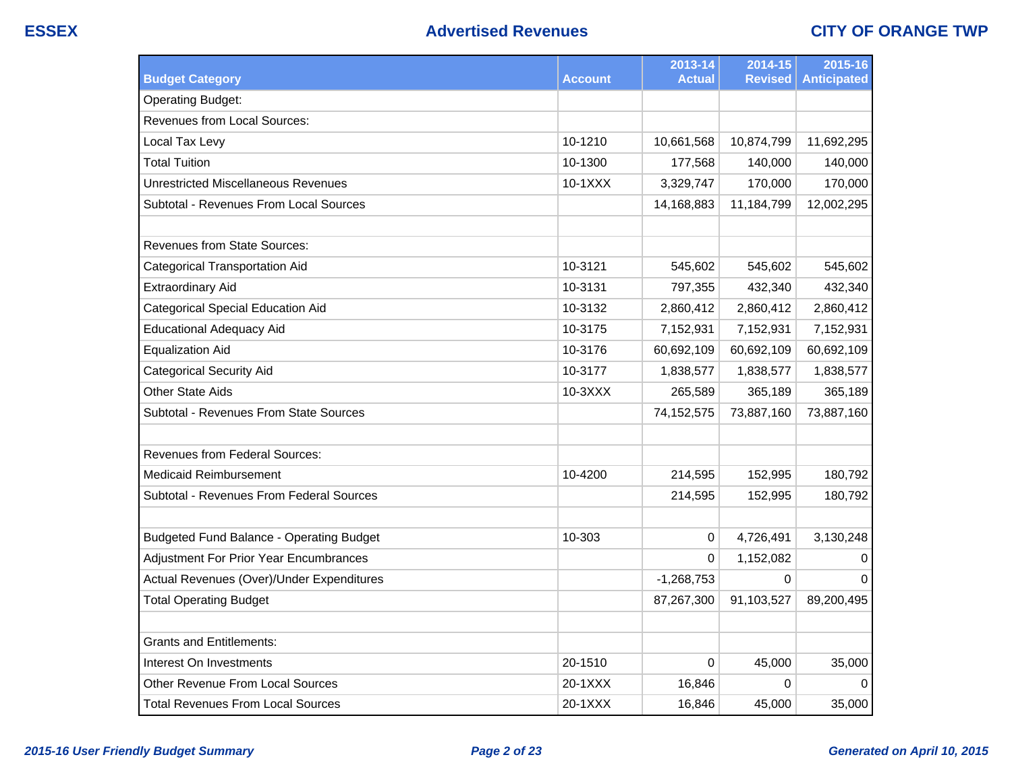|                                                 |                | 2013-14       | 2014-15        | 2015-16            |
|-------------------------------------------------|----------------|---------------|----------------|--------------------|
| <b>Budget Category</b>                          | <b>Account</b> | <b>Actual</b> | <b>Revised</b> | <b>Anticipated</b> |
| <b>Operating Budget:</b>                        |                |               |                |                    |
| Revenues from Local Sources:                    |                |               |                |                    |
| Local Tax Levy                                  | 10-1210        | 10,661,568    | 10,874,799     | 11,692,295         |
| <b>Total Tuition</b>                            | 10-1300        | 177,568       | 140,000        | 140,000            |
| <b>Unrestricted Miscellaneous Revenues</b>      | 10-1XXX        | 3,329,747     | 170,000        | 170,000            |
| Subtotal - Revenues From Local Sources          |                | 14,168,883    | 11,184,799     | 12,002,295         |
|                                                 |                |               |                |                    |
| <b>Revenues from State Sources:</b>             |                |               |                |                    |
| <b>Categorical Transportation Aid</b>           | 10-3121        | 545,602       | 545,602        | 545,602            |
| <b>Extraordinary Aid</b>                        | 10-3131        | 797,355       | 432,340        | 432,340            |
| <b>Categorical Special Education Aid</b>        | 10-3132        | 2,860,412     | 2,860,412      | 2,860,412          |
| <b>Educational Adequacy Aid</b>                 | 10-3175        | 7,152,931     | 7,152,931      | 7,152,931          |
| <b>Equalization Aid</b>                         | 10-3176        | 60,692,109    | 60,692,109     | 60,692,109         |
| <b>Categorical Security Aid</b>                 | 10-3177        | 1,838,577     | 1,838,577      | 1,838,577          |
| <b>Other State Aids</b>                         | 10-3XXX        | 265,589       | 365,189        | 365,189            |
| Subtotal - Revenues From State Sources          |                | 74,152,575    | 73,887,160     | 73,887,160         |
|                                                 |                |               |                |                    |
| <b>Revenues from Federal Sources:</b>           |                |               |                |                    |
| <b>Medicaid Reimbursement</b>                   | 10-4200        | 214,595       | 152,995        | 180,792            |
| <b>Subtotal - Revenues From Federal Sources</b> |                | 214,595       | 152,995        | 180,792            |
|                                                 |                |               |                |                    |
| <b>Budgeted Fund Balance - Operating Budget</b> | 10-303         | 0             | 4,726,491      | 3,130,248          |
| <b>Adjustment For Prior Year Encumbrances</b>   |                | $\Omega$      | 1,152,082      | 0                  |
| Actual Revenues (Over)/Under Expenditures       |                | $-1,268,753$  | $\Omega$       | $\Omega$           |
| <b>Total Operating Budget</b>                   |                | 87,267,300    | 91,103,527     | 89,200,495         |
|                                                 |                |               |                |                    |
| <b>Grants and Entitlements:</b>                 |                |               |                |                    |
| Interest On Investments                         | 20-1510        | 0             | 45,000         | 35,000             |
| Other Revenue From Local Sources                | 20-1XXX        | 16,846        | 0              | $\Omega$           |
| <b>Total Revenues From Local Sources</b>        | 20-1XXX        | 16,846        | 45,000         | 35,000             |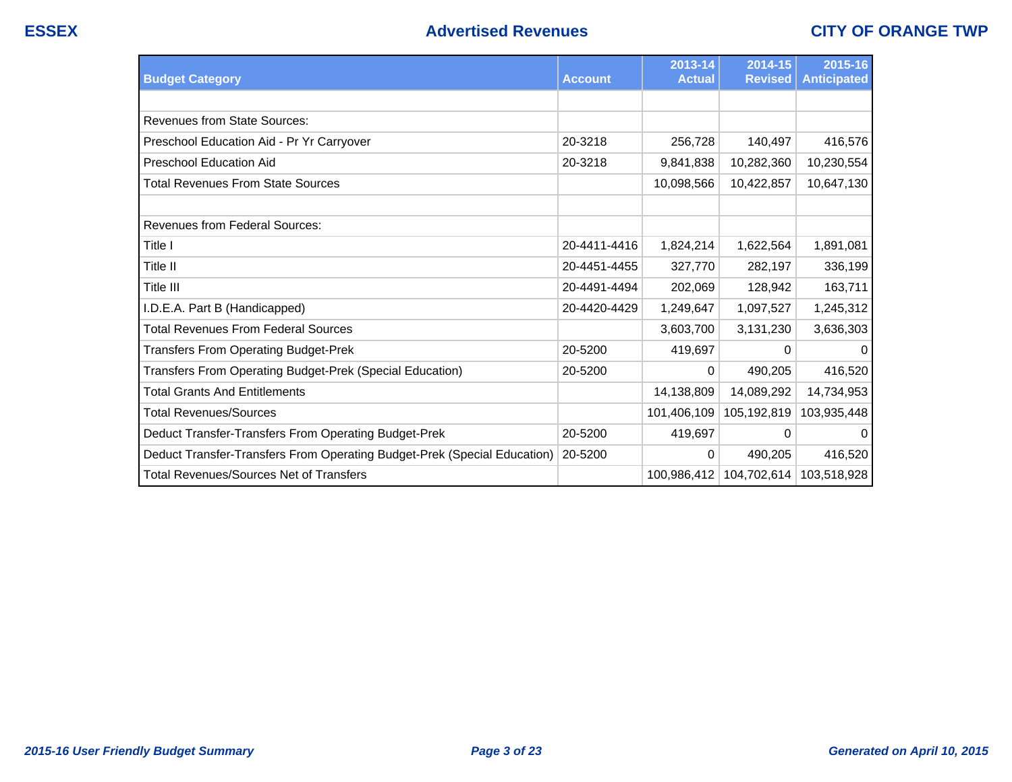| <b>Budget Category</b>                                                   | <b>Account</b> | 2013-14<br><b>Actual</b> | 2014-15<br><b>Revised</b> | 2015-16<br><b>Anticipated</b> |
|--------------------------------------------------------------------------|----------------|--------------------------|---------------------------|-------------------------------|
|                                                                          |                |                          |                           |                               |
| <b>Revenues from State Sources:</b>                                      |                |                          |                           |                               |
| Preschool Education Aid - Pr Yr Carryover                                | 20-3218        | 256,728                  | 140,497                   | 416,576                       |
| <b>Preschool Education Aid</b>                                           | 20-3218        | 9,841,838                | 10,282,360                | 10,230,554                    |
| <b>Total Revenues From State Sources</b>                                 |                | 10,098,566               | 10,422,857                | 10,647,130                    |
|                                                                          |                |                          |                           |                               |
| <b>Revenues from Federal Sources:</b>                                    |                |                          |                           |                               |
| Title I                                                                  | 20-4411-4416   | 1,824,214                | 1,622,564                 | 1,891,081                     |
| Title II                                                                 | 20-4451-4455   | 327,770                  | 282,197                   | 336,199                       |
| Title III                                                                | 20-4491-4494   | 202,069                  | 128,942                   | 163,711                       |
| I.D.E.A. Part B (Handicapped)                                            | 20-4420-4429   | 1,249,647                | 1,097,527                 | 1,245,312                     |
| <b>Total Revenues From Federal Sources</b>                               |                | 3,603,700                | 3,131,230                 | 3,636,303                     |
| <b>Transfers From Operating Budget-Prek</b>                              | 20-5200        | 419,697                  | 0                         | $\mathbf{0}$                  |
| Transfers From Operating Budget-Prek (Special Education)                 | 20-5200        | 0                        | 490,205                   | 416,520                       |
| <b>Total Grants And Entitlements</b>                                     |                | 14,138,809               | 14,089,292                | 14,734,953                    |
| <b>Total Revenues/Sources</b>                                            |                | 101,406,109              | 105,192,819               | 103,935,448                   |
| Deduct Transfer-Transfers From Operating Budget-Prek                     | 20-5200        | 419,697                  | 0                         | $\mathbf 0$                   |
| Deduct Transfer-Transfers From Operating Budget-Prek (Special Education) | 20-5200        | $\Omega$                 | 490,205                   | 416,520                       |
| <b>Total Revenues/Sources Net of Transfers</b>                           |                | 100,986,412              | 104,702,614               | 103,518,928                   |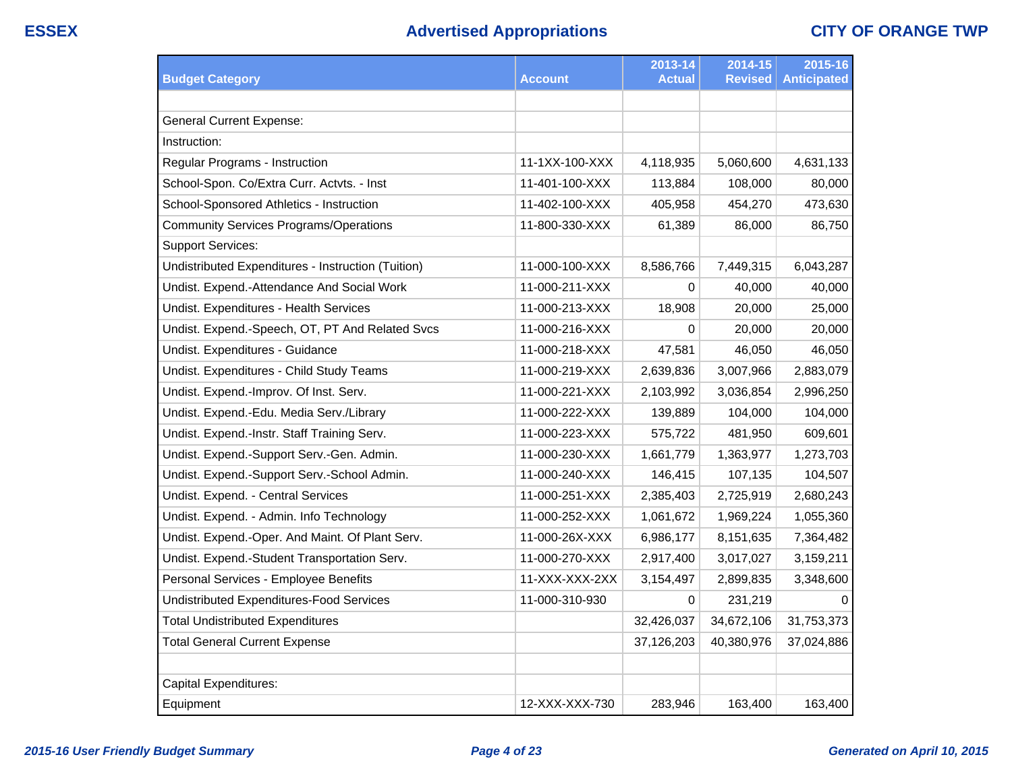|                                                    |                | 2013-14       | 2014-15        | 2015-16            |
|----------------------------------------------------|----------------|---------------|----------------|--------------------|
| <b>Budget Category</b>                             | Account        | <b>Actual</b> | <b>Revised</b> | <b>Anticipated</b> |
|                                                    |                |               |                |                    |
| <b>General Current Expense:</b>                    |                |               |                |                    |
| Instruction:                                       |                |               |                |                    |
| Regular Programs - Instruction                     | 11-1XX-100-XXX | 4,118,935     | 5,060,600      | 4,631,133          |
| School-Spon. Co/Extra Curr. Actvts. - Inst         | 11-401-100-XXX | 113,884       | 108,000        | 80,000             |
| School-Sponsored Athletics - Instruction           | 11-402-100-XXX | 405,958       | 454,270        | 473,630            |
| <b>Community Services Programs/Operations</b>      | 11-800-330-XXX | 61,389        | 86,000         | 86,750             |
| <b>Support Services:</b>                           |                |               |                |                    |
| Undistributed Expenditures - Instruction (Tuition) | 11-000-100-XXX | 8,586,766     | 7,449,315      | 6,043,287          |
| Undist. Expend.-Attendance And Social Work         | 11-000-211-XXX | 0             | 40,000         | 40,000             |
| Undist. Expenditures - Health Services             | 11-000-213-XXX | 18,908        | 20,000         | 25,000             |
| Undist. Expend.-Speech, OT, PT And Related Svcs    | 11-000-216-XXX | 0             | 20,000         | 20,000             |
| Undist. Expenditures - Guidance                    | 11-000-218-XXX | 47,581        | 46,050         | 46,050             |
| Undist. Expenditures - Child Study Teams           | 11-000-219-XXX | 2,639,836     | 3,007,966      | 2,883,079          |
| Undist. Expend.-Improv. Of Inst. Serv.             | 11-000-221-XXX | 2,103,992     | 3,036,854      | 2,996,250          |
| Undist. Expend.-Edu. Media Serv./Library           | 11-000-222-XXX | 139,889       | 104,000        | 104,000            |
| Undist. Expend.-Instr. Staff Training Serv.        | 11-000-223-XXX | 575,722       | 481,950        | 609,601            |
| Undist. Expend.-Support Serv.-Gen. Admin.          | 11-000-230-XXX | 1,661,779     | 1,363,977      | 1,273,703          |
| Undist. Expend.-Support Serv.-School Admin.        | 11-000-240-XXX | 146,415       | 107,135        | 104,507            |
| Undist. Expend. - Central Services                 | 11-000-251-XXX | 2,385,403     | 2,725,919      | 2,680,243          |
| Undist. Expend. - Admin. Info Technology           | 11-000-252-XXX | 1,061,672     | 1,969,224      | 1,055,360          |
| Undist. Expend.-Oper. And Maint. Of Plant Serv.    | 11-000-26X-XXX | 6,986,177     | 8,151,635      | 7,364,482          |
| Undist. Expend.-Student Transportation Serv.       | 11-000-270-XXX | 2,917,400     | 3,017,027      | 3,159,211          |
| Personal Services - Employee Benefits              | 11-XXX-XXX-2XX | 3,154,497     | 2,899,835      | 3,348,600          |
| <b>Undistributed Expenditures-Food Services</b>    | 11-000-310-930 | 0             | 231,219        | $\Omega$           |
| <b>Total Undistributed Expenditures</b>            |                | 32,426,037    | 34,672,106     | 31,753,373         |
| <b>Total General Current Expense</b>               |                | 37,126,203    | 40,380,976     | 37,024,886         |
|                                                    |                |               |                |                    |
| Capital Expenditures:                              |                |               |                |                    |
| Equipment                                          | 12-XXX-XXX-730 | 283,946       | 163,400        | 163,400            |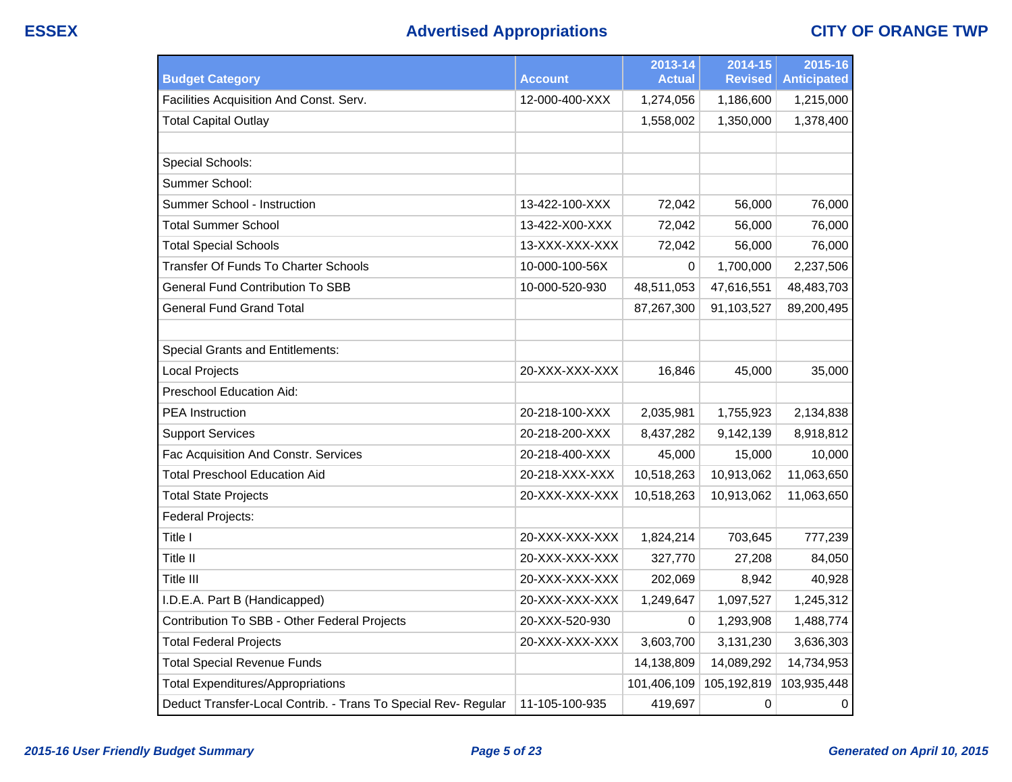# **ESSEX Advertised Appropriations CITY OF ORANGE TWP**

| <b>Budget Category</b>                                         | Account        | 2013-14<br><b>Actual</b> | 2014-15<br><b>Revised</b> | 2015-16<br><b>Anticipated</b> |
|----------------------------------------------------------------|----------------|--------------------------|---------------------------|-------------------------------|
| Facilities Acquisition And Const. Serv.                        | 12-000-400-XXX | 1,274,056                | 1,186,600                 | 1,215,000                     |
| <b>Total Capital Outlay</b>                                    |                | 1,558,002                | 1,350,000                 | 1,378,400                     |
|                                                                |                |                          |                           |                               |
| Special Schools:                                               |                |                          |                           |                               |
| Summer School:                                                 |                |                          |                           |                               |
| Summer School - Instruction                                    | 13-422-100-XXX | 72,042                   | 56,000                    | 76,000                        |
| <b>Total Summer School</b>                                     | 13-422-X00-XXX | 72,042                   | 56,000                    | 76,000                        |
| <b>Total Special Schools</b>                                   | 13-XXX-XXX-XXX | 72,042                   | 56,000                    | 76,000                        |
| Transfer Of Funds To Charter Schools                           | 10-000-100-56X | 0                        | 1,700,000                 | 2,237,506                     |
| <b>General Fund Contribution To SBB</b>                        | 10-000-520-930 | 48,511,053               | 47,616,551                | 48,483,703                    |
| <b>General Fund Grand Total</b>                                |                | 87,267,300               | 91,103,527                | 89,200,495                    |
|                                                                |                |                          |                           |                               |
| <b>Special Grants and Entitlements:</b>                        |                |                          |                           |                               |
| <b>Local Projects</b>                                          | 20-XXX-XXX-XXX | 16,846                   | 45,000                    | 35,000                        |
| <b>Preschool Education Aid:</b>                                |                |                          |                           |                               |
| <b>PEA</b> Instruction                                         | 20-218-100-XXX | 2,035,981                | 1,755,923                 | 2,134,838                     |
| <b>Support Services</b>                                        | 20-218-200-XXX | 8,437,282                | 9,142,139                 | 8,918,812                     |
| Fac Acquisition And Constr. Services                           | 20-218-400-XXX | 45,000                   | 15,000                    | 10,000                        |
| Total Preschool Education Aid                                  | 20-218-XXX-XXX | 10,518,263               | 10,913,062                | 11,063,650                    |
| <b>Total State Projects</b>                                    | 20-XXX-XXX-XXX | 10,518,263               | 10,913,062                | 11,063,650                    |
| Federal Projects:                                              |                |                          |                           |                               |
| Title I                                                        | 20-XXX-XXX-XXX | 1,824,214                | 703,645                   | 777,239                       |
| Title II                                                       | 20-XXX-XXX-XXX | 327,770                  | 27,208                    | 84,050                        |
| Title III                                                      | 20-XXX-XXX-XXX | 202,069                  | 8,942                     | 40,928                        |
| I.D.E.A. Part B (Handicapped)                                  | 20-XXX-XXX-XXX | 1,249,647                | 1,097,527                 | 1,245,312                     |
| Contribution To SBB - Other Federal Projects                   | 20-XXX-520-930 | 0                        | 1,293,908                 | 1,488,774                     |
| <b>Total Federal Projects</b>                                  | 20-XXX-XXX-XXX | 3,603,700                | 3,131,230                 | 3,636,303                     |
| <b>Total Special Revenue Funds</b>                             |                | 14,138,809               | 14,089,292                | 14,734,953                    |
| <b>Total Expenditures/Appropriations</b>                       |                | 101,406,109              | 105,192,819               | 103,935,448                   |
| Deduct Transfer-Local Contrib. - Trans To Special Rev- Regular | 11-105-100-935 | 419,697                  | 0                         | 0                             |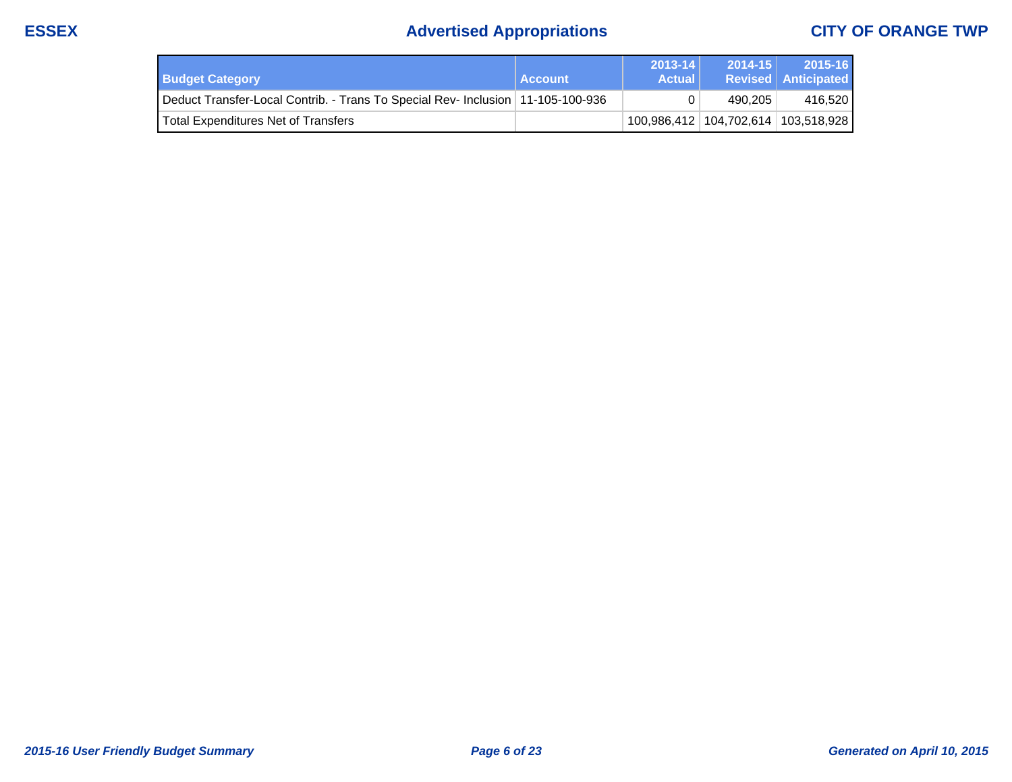# **ESSEX Advertised Appropriations CITY OF ORANGE TWP**

| <b>Budget Category</b>                                                            | <b>Account</b> | $2013 - 14$<br><b>Actual</b> | $2014 - 15$ | 2015-16<br><b>Revised Anticipated</b>   |
|-----------------------------------------------------------------------------------|----------------|------------------------------|-------------|-----------------------------------------|
| Deduct Transfer-Local Contrib. - Trans To Special Rev- Inclusion   11-105-100-936 |                |                              | 490.205     | 416,520                                 |
| Total Expenditures Net of Transfers                                               |                |                              |             | 100,986,412   104,702,614   103,518,928 |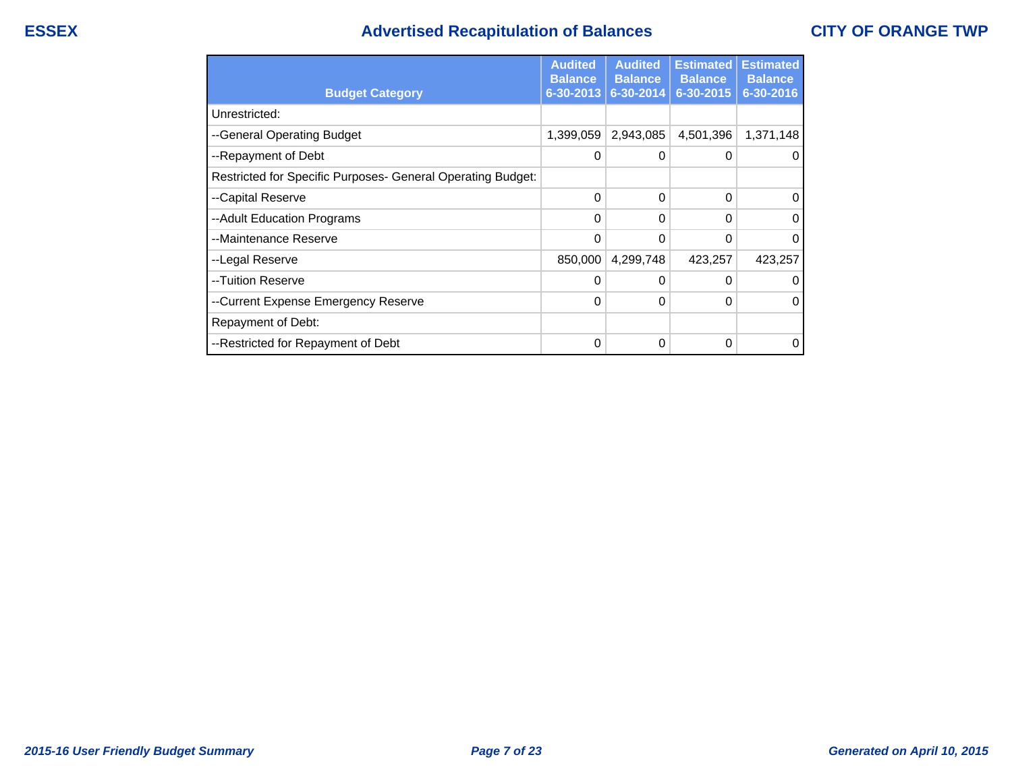## **ESSEX Advertised Recapitulation of Balances CITY OF ORANGE TWP**

|                                                             | <b>Audited</b><br><b>Balance</b> | <b>Audited</b><br><b>Balance</b> | <b>Estimated</b><br><b>Balance</b> | <b>Estimated</b><br><b>Balance</b> |
|-------------------------------------------------------------|----------------------------------|----------------------------------|------------------------------------|------------------------------------|
| <b>Budget Category</b>                                      | $6 - 30 - 2013$                  | $6 - 30 - 2014$                  | 6-30-2015                          | 6-30-2016                          |
| Unrestricted:                                               |                                  |                                  |                                    |                                    |
| --General Operating Budget                                  | 1,399,059                        | 2,943,085                        | 4,501,396                          | 1,371,148                          |
| --Repayment of Debt                                         | 0                                | 0                                | O                                  |                                    |
| Restricted for Specific Purposes- General Operating Budget: |                                  |                                  |                                    |                                    |
| --Capital Reserve                                           | 0                                | 0                                | 0                                  |                                    |
| --Adult Education Programs                                  | 0                                | 0                                | 0                                  | 0                                  |
| --Maintenance Reserve                                       | 0                                | 0                                | 0                                  |                                    |
| --Legal Reserve                                             | 850,000                          | 4,299,748                        | 423,257                            | 423,257                            |
| --Tuition Reserve                                           | 0                                | 0                                | 0                                  |                                    |
| --Current Expense Emergency Reserve                         | 0                                | 0                                | 0                                  |                                    |
| Repayment of Debt:                                          |                                  |                                  |                                    |                                    |
| --Restricted for Repayment of Debt                          | 0                                | 0                                | 0                                  |                                    |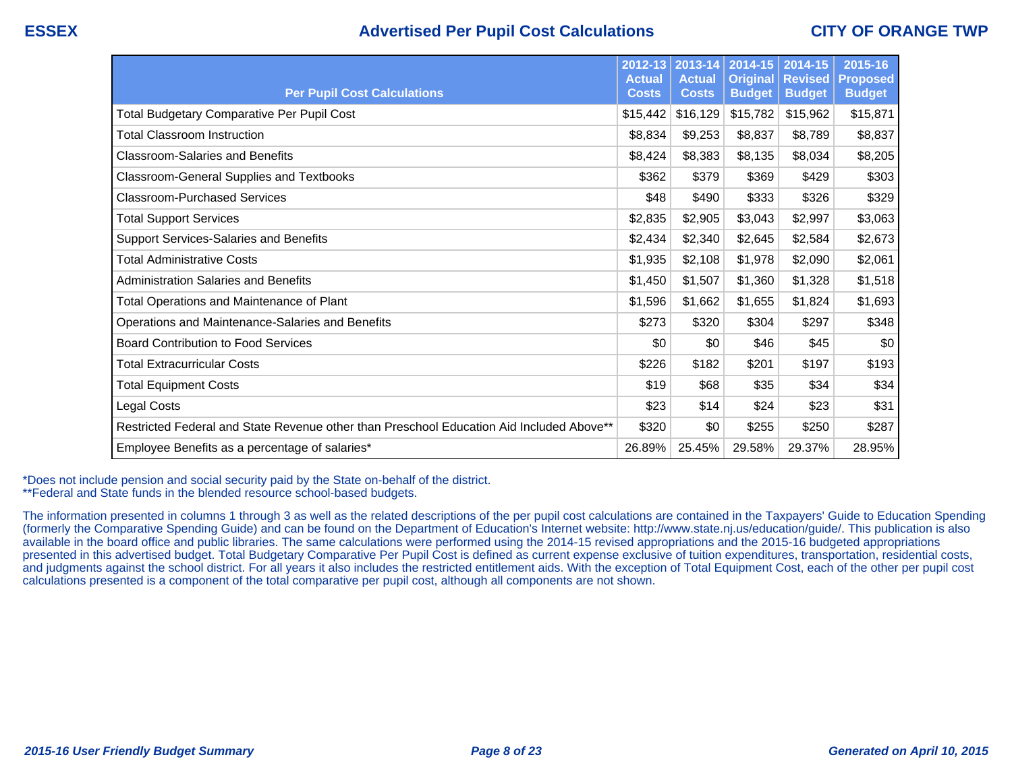## **ESSEX Advertised Per Pupil Cost Calculations CITY OF ORANGE TWP**

| <b>Per Pupil Cost Calculations</b>                                                       | 2012-13<br><b>Actual</b><br><b>Costs</b> | 2013-14<br><b>Actual</b><br><b>Costs</b> | 2014-15<br><b>Original</b><br><b>Budget</b> | 2014-15<br><b>Revised</b><br><b>Budget</b> | 2015-16<br><b>Proposed</b><br><b>Budget</b> |
|------------------------------------------------------------------------------------------|------------------------------------------|------------------------------------------|---------------------------------------------|--------------------------------------------|---------------------------------------------|
| Total Budgetary Comparative Per Pupil Cost                                               | \$15,442                                 | \$16,129                                 | \$15,782                                    | \$15,962                                   | \$15,871                                    |
| Total Classroom Instruction                                                              | \$8,834                                  | \$9,253                                  | \$8,837                                     | \$8,789                                    | \$8,837                                     |
| <b>Classroom-Salaries and Benefits</b>                                                   | \$8,424                                  | \$8,383                                  | \$8,135                                     | \$8,034                                    | \$8,205                                     |
| Classroom-General Supplies and Textbooks                                                 | \$362                                    | \$379                                    | \$369                                       | \$429                                      | \$303                                       |
| <b>Classroom-Purchased Services</b>                                                      | \$48                                     | \$490                                    | \$333                                       | \$326                                      | \$329                                       |
| <b>Total Support Services</b>                                                            | \$2,835                                  | \$2,905                                  | \$3,043                                     | \$2,997                                    | \$3,063                                     |
| <b>Support Services-Salaries and Benefits</b>                                            | \$2,434                                  | \$2,340                                  | \$2,645                                     | \$2,584                                    | \$2,673                                     |
| <b>Total Administrative Costs</b>                                                        | \$1,935                                  | \$2,108                                  | \$1,978                                     | \$2,090                                    | \$2,061                                     |
| Administration Salaries and Benefits                                                     | \$1,450                                  | \$1,507                                  | \$1,360                                     | \$1,328                                    | \$1,518                                     |
| Total Operations and Maintenance of Plant                                                | \$1,596                                  | \$1,662                                  | \$1,655                                     | \$1,824                                    | \$1,693                                     |
| Operations and Maintenance-Salaries and Benefits                                         | \$273                                    | \$320                                    | \$304                                       | \$297                                      | \$348                                       |
| <b>Board Contribution to Food Services</b>                                               | \$0                                      | \$0                                      | \$46                                        | \$45                                       | \$0                                         |
| Total Extracurricular Costs                                                              | \$226                                    | \$182                                    | \$201                                       | \$197                                      | \$193                                       |
| <b>Total Equipment Costs</b>                                                             | \$19                                     | \$68                                     | \$35                                        | \$34                                       | \$34                                        |
| Legal Costs                                                                              | \$23                                     | \$14                                     | \$24                                        | \$23                                       | \$31                                        |
| Restricted Federal and State Revenue other than Preschool Education Aid Included Above** | \$320                                    | \$0                                      | \$255                                       | \$250                                      | \$287                                       |
| Employee Benefits as a percentage of salaries*                                           | 26.89%                                   | 25.45%                                   | 29.58%                                      | 29.37%                                     | 28.95%                                      |

\*Does not include pension and social security paid by the State on-behalf of the district. \*\*Federal and State funds in the blended resource school-based budgets.

The information presented in columns 1 through 3 as well as the related descriptions of the per pupil cost calculations are contained in the Taxpayers' Guide to Education Spending (formerly the Comparative Spending Guide) and can be found on the Department of Education's Internet website: http://www.state.nj.us/education/guide/. This publication is also available in the board office and public libraries. The same calculations were performed using the 2014-15 revised appropriations and the 2015-16 budgeted appropriations presented in this advertised budget. Total Budgetary Comparative Per Pupil Cost is defined as current expense exclusive of tuition expenditures, transportation, residential costs, and judgments against the school district. For all years it also includes the restricted entitlement aids. With the exception of Total Equipment Cost, each of the other per pupil cost calculations presented is a component of the total comparative per pupil cost, although all components are not shown.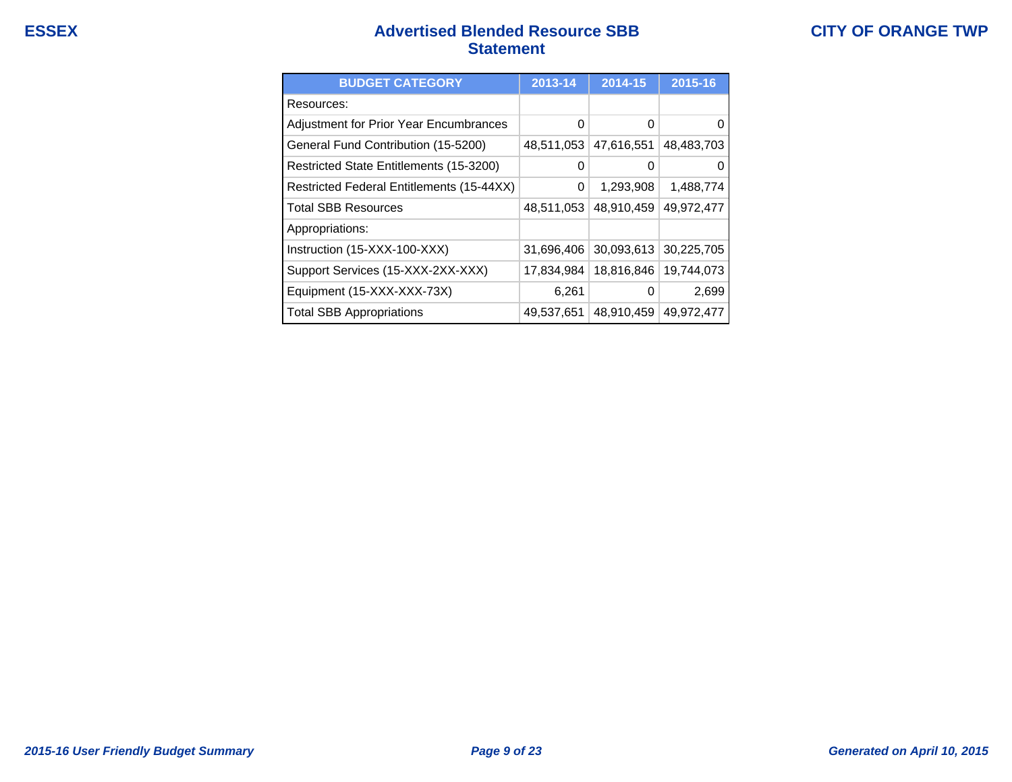## **ESSEX Advertised Blended Resource SBB Statement**

| <b>BUDGET CATEGORY</b>                    | 2013-14    | 2014-15    | 2015-16    |
|-------------------------------------------|------------|------------|------------|
| Resources:                                |            |            |            |
| Adjustment for Prior Year Encumbrances    | 0          | 0          |            |
| General Fund Contribution (15-5200)       | 48,511,053 | 47,616,551 | 48,483,703 |
| Restricted State Entitlements (15-3200)   | 0          | O          |            |
| Restricted Federal Entitlements (15-44XX) | 0          | 1,293,908  | 1,488,774  |
| <b>Total SBB Resources</b>                | 48,511,053 | 48,910,459 | 49,972,477 |
| Appropriations:                           |            |            |            |
| Instruction (15-XXX-100-XXX)              | 31,696,406 | 30,093,613 | 30,225,705 |
| Support Services (15-XXX-2XX-XXX)         | 17,834,984 | 18,816,846 | 19,744,073 |
| Equipment (15-XXX-XXX-73X)                | 6,261      | 0          | 2,699      |
| <b>Total SBB Appropriations</b>           | 49,537,651 | 48,910,459 | 49,972,477 |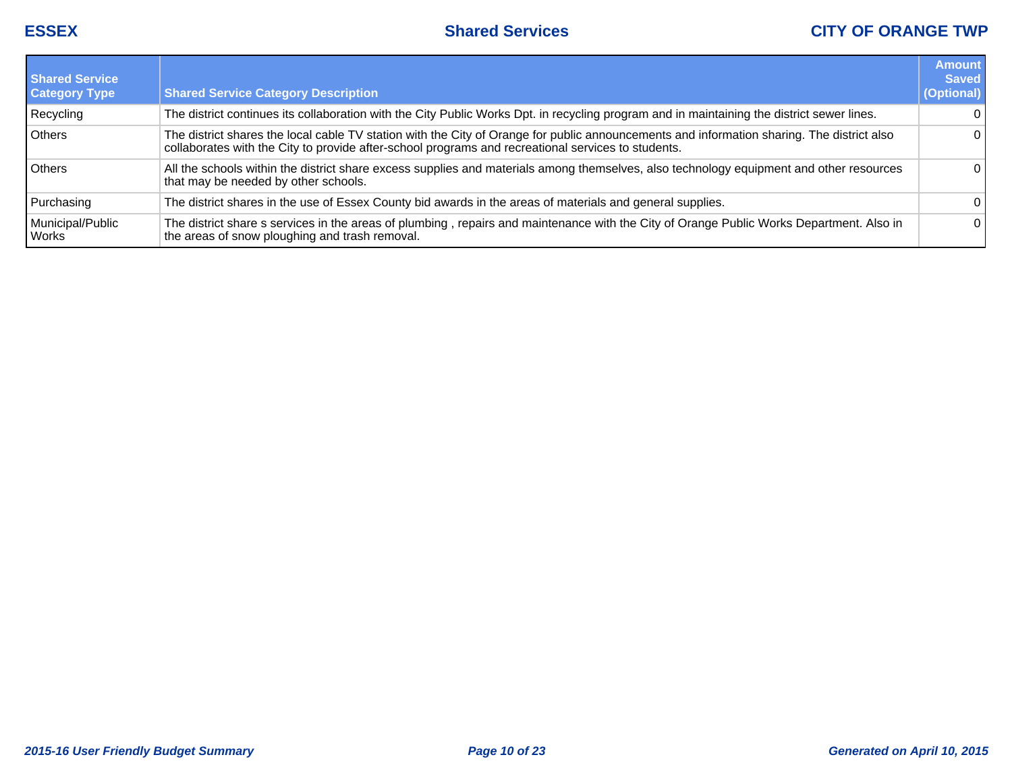| <b>Shared Service</b><br><b>Category Type</b> | <b>Shared Service Category Description</b>                                                                                                                                                                                                       | <b>Amount</b><br><b>Saved</b><br>(Optional) |
|-----------------------------------------------|--------------------------------------------------------------------------------------------------------------------------------------------------------------------------------------------------------------------------------------------------|---------------------------------------------|
| Recycling                                     | The district continues its collaboration with the City Public Works Dpt. in recycling program and in maintaining the district sewer lines.                                                                                                       | $\Omega$                                    |
| Others                                        | The district shares the local cable TV station with the City of Orange for public announcements and information sharing. The district also<br>collaborates with the City to provide after-school programs and recreational services to students. | 0                                           |
| <b>Others</b>                                 | All the schools within the district share excess supplies and materials among themselves, also technology equipment and other resources<br>that may be needed by other schools.                                                                  | 0                                           |
| Purchasing                                    | The district shares in the use of Essex County bid awards in the areas of materials and general supplies.                                                                                                                                        | 0                                           |
| Municipal/Public<br>Works                     | The district share s services in the areas of plumbing, repairs and maintenance with the City of Orange Public Works Department. Also in<br>the areas of snow ploughing and trash removal.                                                       | 0                                           |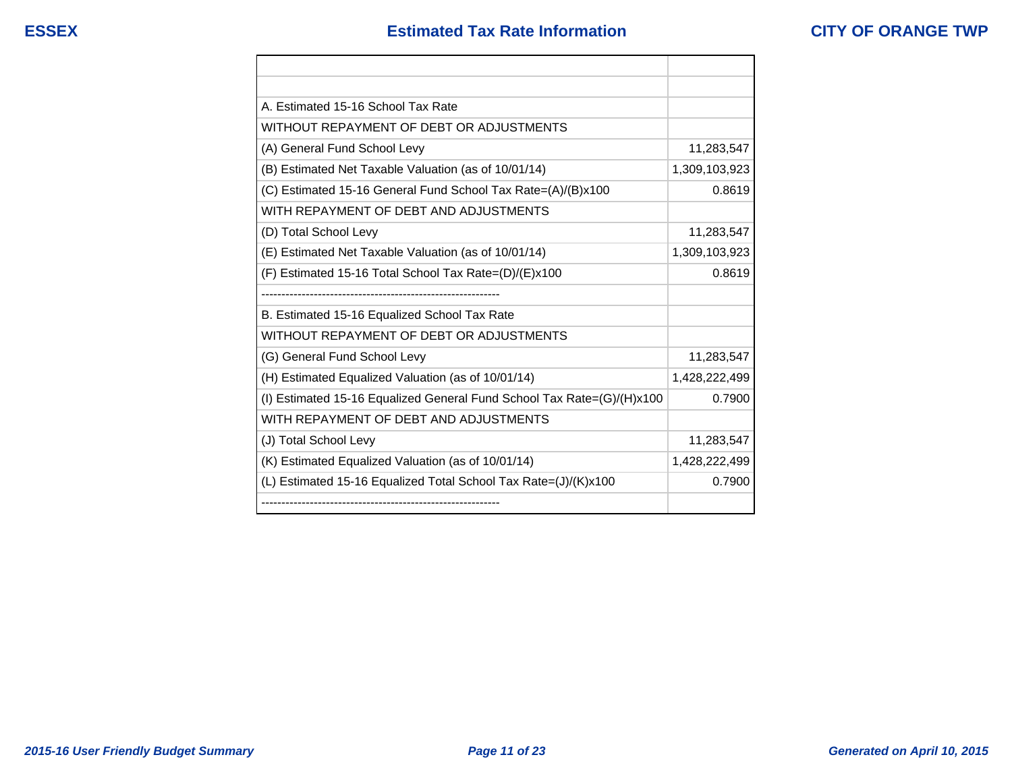| A. Estimated 15-16 School Tax Rate                                     |               |
|------------------------------------------------------------------------|---------------|
| WITHOUT REPAYMENT OF DEBT OR ADJUSTMENTS                               |               |
| (A) General Fund School Levy                                           | 11,283,547    |
| (B) Estimated Net Taxable Valuation (as of 10/01/14)                   | 1,309,103,923 |
| (C) Estimated 15-16 General Fund School Tax Rate=(A)/(B)x100           | 0.8619        |
| WITH REPAYMENT OF DEBT AND ADJUSTMENTS                                 |               |
| (D) Total School Levy                                                  | 11,283,547    |
| (E) Estimated Net Taxable Valuation (as of 10/01/14)                   | 1,309,103,923 |
| (F) Estimated 15-16 Total School Tax Rate=(D)/(E)x100                  | 0.8619        |
|                                                                        |               |
| B. Estimated 15-16 Equalized School Tax Rate                           |               |
| WITHOUT REPAYMENT OF DEBT OR ADJUSTMENTS                               |               |
| (G) General Fund School Levy                                           | 11,283,547    |
| (H) Estimated Equalized Valuation (as of 10/01/14)                     | 1,428,222,499 |
| (I) Estimated 15-16 Equalized General Fund School Tax Rate=(G)/(H)x100 | 0.7900        |
| WITH REPAYMENT OF DEBT AND ADJUSTMENTS                                 |               |
| (J) Total School Levy                                                  | 11,283,547    |
| (K) Estimated Equalized Valuation (as of 10/01/14)                     | 1,428,222,499 |
| (L) Estimated 15-16 Equalized Total School Tax Rate=(J)/(K)x100        | 0.7900        |
|                                                                        |               |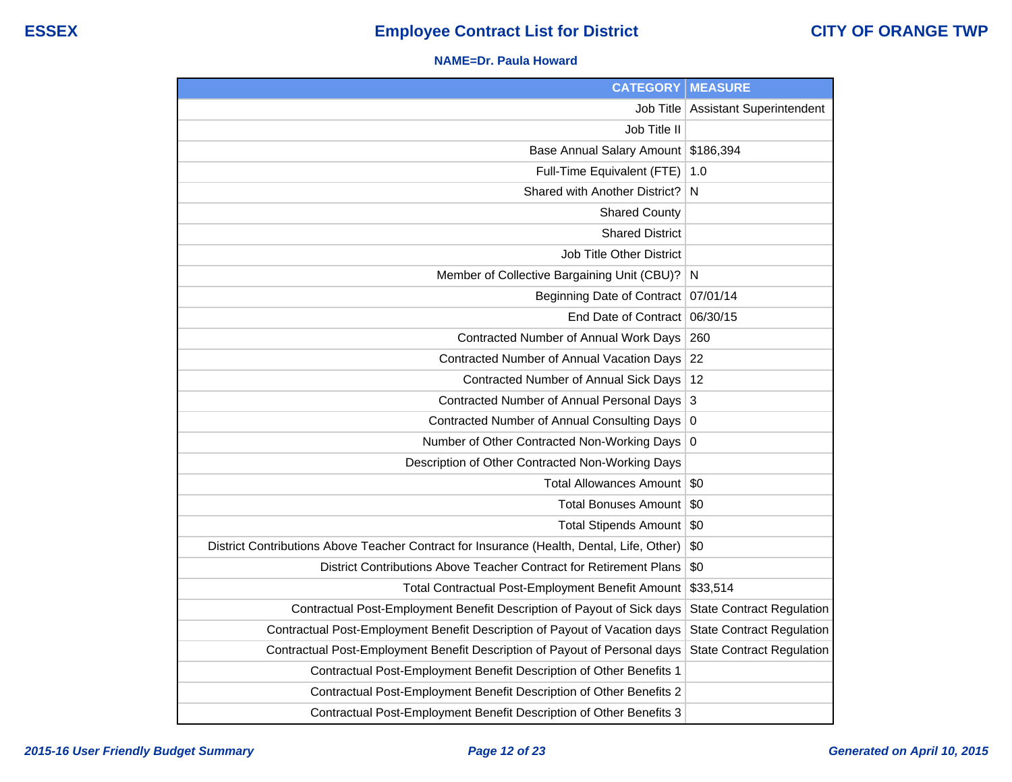#### **NAME=Dr. Paula Howard**

| <b>CATEGORY</b>                                                                           | <b>MEASURE</b>                   |
|-------------------------------------------------------------------------------------------|----------------------------------|
| <b>Job Title</b>                                                                          | <b>Assistant Superintendent</b>  |
| Job Title II                                                                              |                                  |
| <b>Base Annual Salary Amount</b>                                                          | \$186,394                        |
| Full-Time Equivalent (FTE)                                                                | 1.0                              |
| Shared with Another District?                                                             | N                                |
| <b>Shared County</b>                                                                      |                                  |
| <b>Shared District</b>                                                                    |                                  |
| Job Title Other District                                                                  |                                  |
| Member of Collective Bargaining Unit (CBU)?                                               | N                                |
| <b>Beginning Date of Contract</b>                                                         | 07/01/14                         |
| End Date of Contract                                                                      | 06/30/15                         |
| Contracted Number of Annual Work Days                                                     | 260                              |
| Contracted Number of Annual Vacation Days                                                 | 22                               |
| Contracted Number of Annual Sick Days                                                     | 12                               |
| Contracted Number of Annual Personal Days                                                 | 3                                |
| <b>Contracted Number of Annual Consulting Days</b>                                        | $\boldsymbol{0}$                 |
| Number of Other Contracted Non-Working Days                                               | $\overline{0}$                   |
| Description of Other Contracted Non-Working Days                                          |                                  |
| <b>Total Allowances Amount</b>                                                            | \$0                              |
| <b>Total Bonuses Amount</b>                                                               | \$0                              |
| <b>Total Stipends Amount</b>                                                              | \$0                              |
| District Contributions Above Teacher Contract for Insurance (Health, Dental, Life, Other) | \$0                              |
| District Contributions Above Teacher Contract for Retirement Plans                        | \$0                              |
| Total Contractual Post-Employment Benefit Amount                                          | \$33,514                         |
| Contractual Post-Employment Benefit Description of Payout of Sick days                    | <b>State Contract Regulation</b> |
| Contractual Post-Employment Benefit Description of Payout of Vacation days                | <b>State Contract Regulation</b> |
| Contractual Post-Employment Benefit Description of Payout of Personal days                | <b>State Contract Regulation</b> |
| Contractual Post-Employment Benefit Description of Other Benefits 1                       |                                  |
| Contractual Post-Employment Benefit Description of Other Benefits 2                       |                                  |
| Contractual Post-Employment Benefit Description of Other Benefits 3                       |                                  |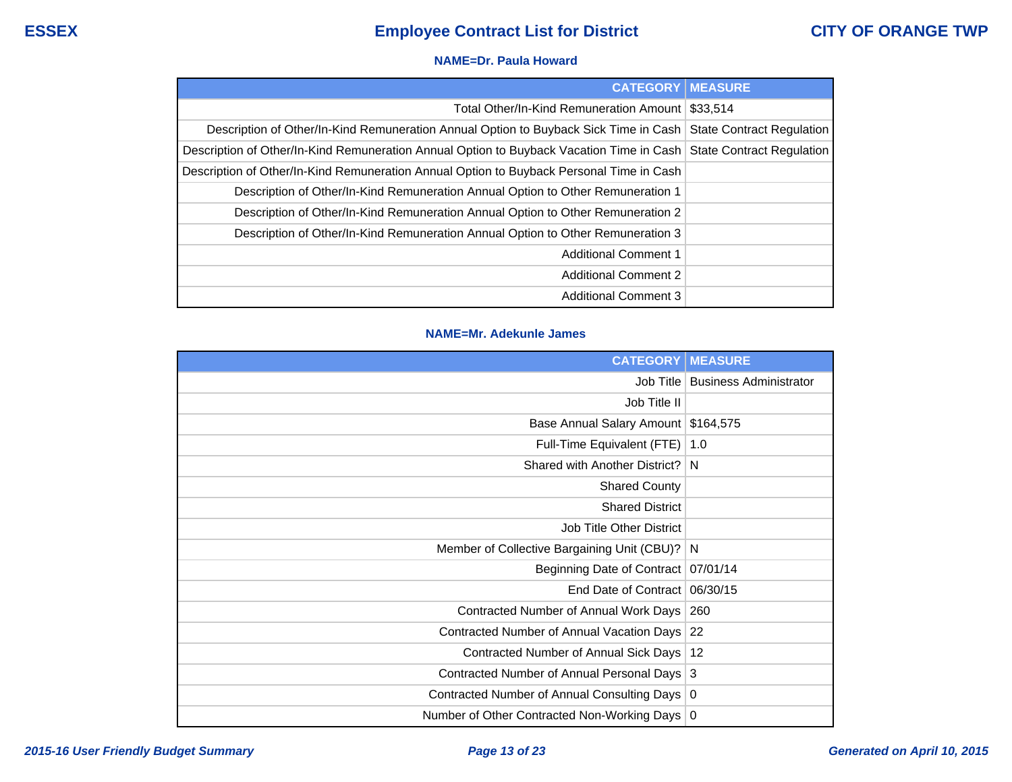#### **NAME=Dr. Paula Howard**

| <b>CATEGORY   MEASURE</b>                                                                                          |          |
|--------------------------------------------------------------------------------------------------------------------|----------|
| Total Other/In-Kind Remuneration Amount                                                                            | \$33.514 |
| Description of Other/In-Kind Remuneration Annual Option to Buyback Sick Time in Cash   State Contract Regulation   |          |
| Description of Other/In-Kind Remuneration Annual Option to Buyback Vacation Time in Cash State Contract Regulation |          |
| Description of Other/In-Kind Remuneration Annual Option to Buyback Personal Time in Cash                           |          |
| Description of Other/In-Kind Remuneration Annual Option to Other Remuneration 1                                    |          |
| Description of Other/In-Kind Remuneration Annual Option to Other Remuneration 2                                    |          |
| Description of Other/In-Kind Remuneration Annual Option to Other Remuneration 3                                    |          |
| <b>Additional Comment 1</b>                                                                                        |          |
| <b>Additional Comment 2</b>                                                                                        |          |
| <b>Additional Comment 3</b>                                                                                        |          |

### **NAME=Mr. Adekunle James**

| <b>CATEGORY</b>                                 | <b>MEASURE</b>                |
|-------------------------------------------------|-------------------------------|
| Job Title                                       | <b>Business Administrator</b> |
| Job Title II                                    |                               |
| Base Annual Salary Amount                       | \$164,575                     |
| Full-Time Equivalent (FTE)                      | 1.0                           |
| Shared with Another District?                   | N                             |
| <b>Shared County</b>                            |                               |
| <b>Shared District</b>                          |                               |
| <b>Job Title Other District</b>                 |                               |
| Member of Collective Bargaining Unit (CBU)?     | N                             |
| Beginning Date of Contract                      | 07/01/14                      |
| End Date of Contract                            | 06/30/15                      |
| Contracted Number of Annual Work Days           | 260                           |
| Contracted Number of Annual Vacation Days       | 22                            |
| Contracted Number of Annual Sick Days           | 12                            |
| Contracted Number of Annual Personal Days   3   |                               |
| Contracted Number of Annual Consulting Days     | 0                             |
| Number of Other Contracted Non-Working Days   0 |                               |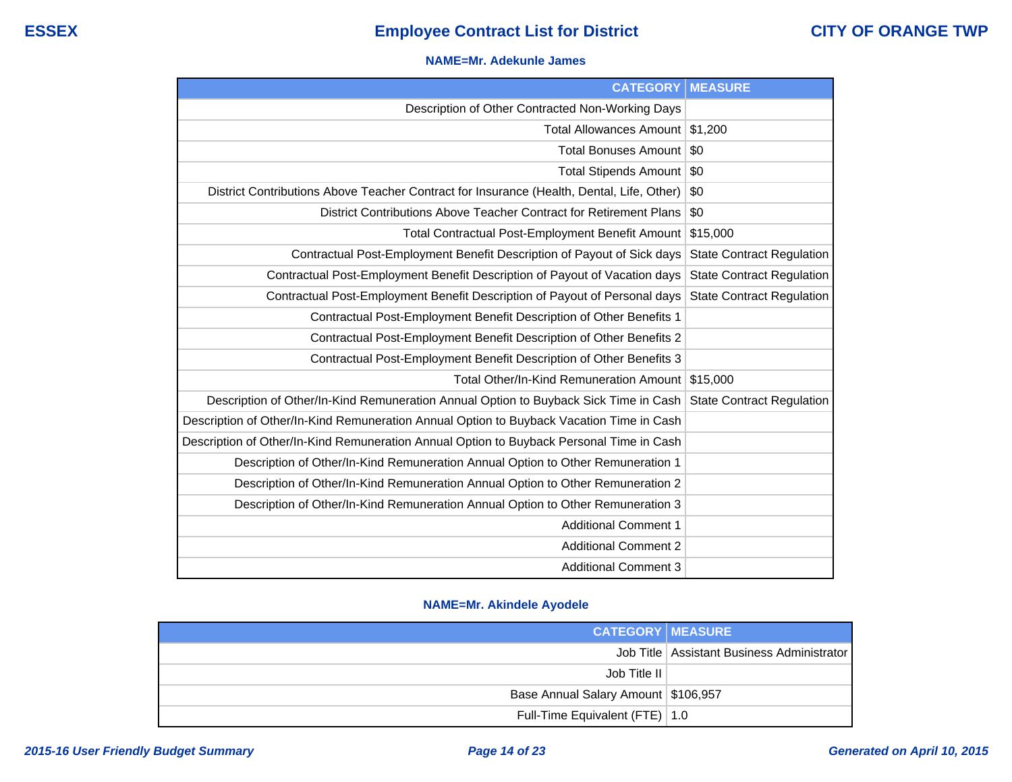#### **NAME=Mr. Adekunle James**

| <b>CATEGORY</b>                                                                           | <b>MEASURE</b>                   |
|-------------------------------------------------------------------------------------------|----------------------------------|
| Description of Other Contracted Non-Working Days                                          |                                  |
| Total Allowances Amount                                                                   | \$1,200                          |
| Total Bonuses Amount                                                                      | \$0                              |
| <b>Total Stipends Amount</b>                                                              | \$0                              |
| District Contributions Above Teacher Contract for Insurance (Health, Dental, Life, Other) | \$0                              |
| District Contributions Above Teacher Contract for Retirement Plans                        | \$0                              |
| <b>Total Contractual Post-Employment Benefit Amount</b>                                   | \$15,000                         |
| Contractual Post-Employment Benefit Description of Payout of Sick days                    | <b>State Contract Regulation</b> |
| Contractual Post-Employment Benefit Description of Payout of Vacation days                | <b>State Contract Regulation</b> |
| Contractual Post-Employment Benefit Description of Payout of Personal days                | <b>State Contract Regulation</b> |
| Contractual Post-Employment Benefit Description of Other Benefits 1                       |                                  |
| Contractual Post-Employment Benefit Description of Other Benefits 2                       |                                  |
| Contractual Post-Employment Benefit Description of Other Benefits 3                       |                                  |
| Total Other/In-Kind Remuneration Amount                                                   | \$15,000                         |
| Description of Other/In-Kind Remuneration Annual Option to Buyback Sick Time in Cash      | <b>State Contract Regulation</b> |
| Description of Other/In-Kind Remuneration Annual Option to Buyback Vacation Time in Cash  |                                  |
| Description of Other/In-Kind Remuneration Annual Option to Buyback Personal Time in Cash  |                                  |
| Description of Other/In-Kind Remuneration Annual Option to Other Remuneration 1           |                                  |
| Description of Other/In-Kind Remuneration Annual Option to Other Remuneration 2           |                                  |
| Description of Other/In-Kind Remuneration Annual Option to Other Remuneration 3           |                                  |
| <b>Additional Comment 1</b>                                                               |                                  |
| <b>Additional Comment 2</b>                                                               |                                  |
| <b>Additional Comment 3</b>                                                               |                                  |

### **NAME=Mr. Akindele Ayodele**

| <b>CATEGORY MEASURE</b>             |                                              |
|-------------------------------------|----------------------------------------------|
|                                     | Job Title   Assistant Business Administrator |
| Job Title II                        |                                              |
| Base Annual Salary Amount \$106,957 |                                              |
| Full-Time Equivalent (FTE)   1.0    |                                              |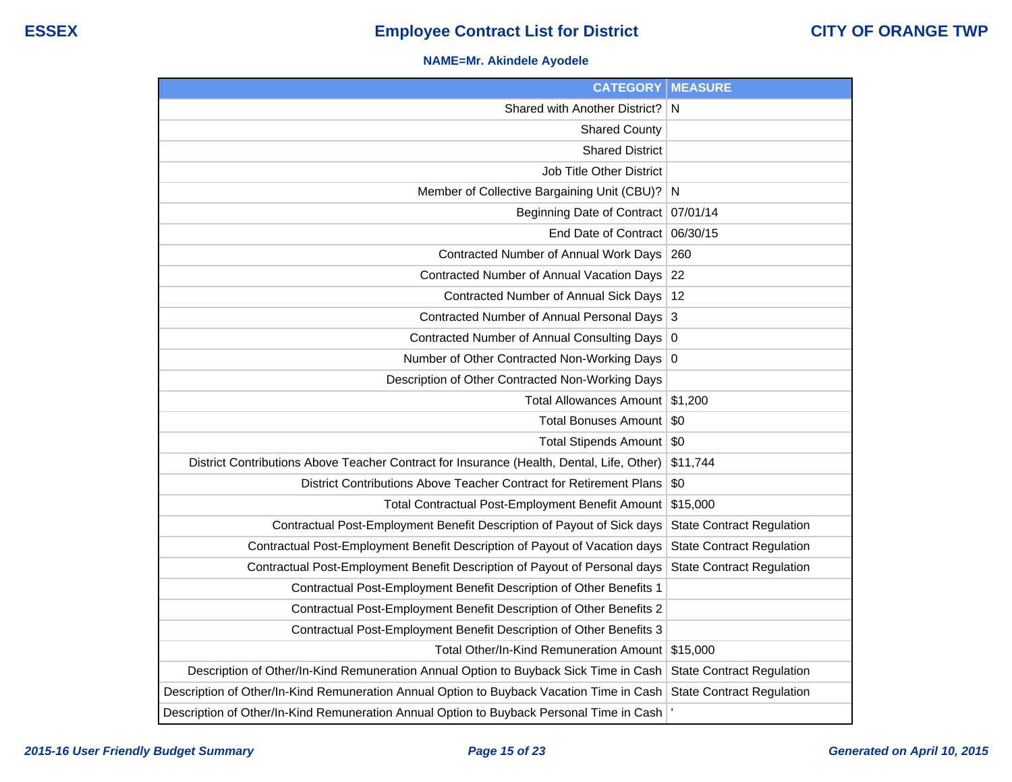### **NAME=Mr. Akindele Ayodele**

| <b>CATEGORY</b>                                                                           | <b>MEASURE</b>                   |
|-------------------------------------------------------------------------------------------|----------------------------------|
| Shared with Another District?                                                             | $\mathsf{N}$                     |
| <b>Shared County</b>                                                                      |                                  |
| <b>Shared District</b>                                                                    |                                  |
| <b>Job Title Other District</b>                                                           |                                  |
| Member of Collective Bargaining Unit (CBU)? N                                             |                                  |
| Beginning Date of Contract 07/01/14                                                       |                                  |
| End Date of Contract                                                                      | 06/30/15                         |
| Contracted Number of Annual Work Days                                                     | 260                              |
| Contracted Number of Annual Vacation Days                                                 | 22                               |
| Contracted Number of Annual Sick Days                                                     | 12                               |
| Contracted Number of Annual Personal Days 3                                               |                                  |
| Contracted Number of Annual Consulting Days                                               | 0                                |
| Number of Other Contracted Non-Working Days 0                                             |                                  |
| Description of Other Contracted Non-Working Days                                          |                                  |
| <b>Total Allowances Amount</b>                                                            | \$1,200                          |
| Total Bonuses Amount                                                                      | \$0                              |
| Total Stipends Amount   \$0                                                               |                                  |
| District Contributions Above Teacher Contract for Insurance (Health, Dental, Life, Other) | \$11,744                         |
| District Contributions Above Teacher Contract for Retirement Plans                        | \$0                              |
| Total Contractual Post-Employment Benefit Amount                                          | \$15,000                         |
| Contractual Post-Employment Benefit Description of Payout of Sick days                    | <b>State Contract Regulation</b> |
| Contractual Post-Employment Benefit Description of Payout of Vacation days                | <b>State Contract Regulation</b> |
| Contractual Post-Employment Benefit Description of Payout of Personal days                | <b>State Contract Regulation</b> |
| Contractual Post-Employment Benefit Description of Other Benefits 1                       |                                  |
| Contractual Post-Employment Benefit Description of Other Benefits 2                       |                                  |
| Contractual Post-Employment Benefit Description of Other Benefits 3                       |                                  |
| Total Other/In-Kind Remuneration Amount                                                   | \$15,000                         |
| Description of Other/In-Kind Remuneration Annual Option to Buyback Sick Time in Cash      | <b>State Contract Regulation</b> |
| Description of Other/In-Kind Remuneration Annual Option to Buyback Vacation Time in Cash  | <b>State Contract Regulation</b> |
| Description of Other/In-Kind Remuneration Annual Option to Buyback Personal Time in Cash  |                                  |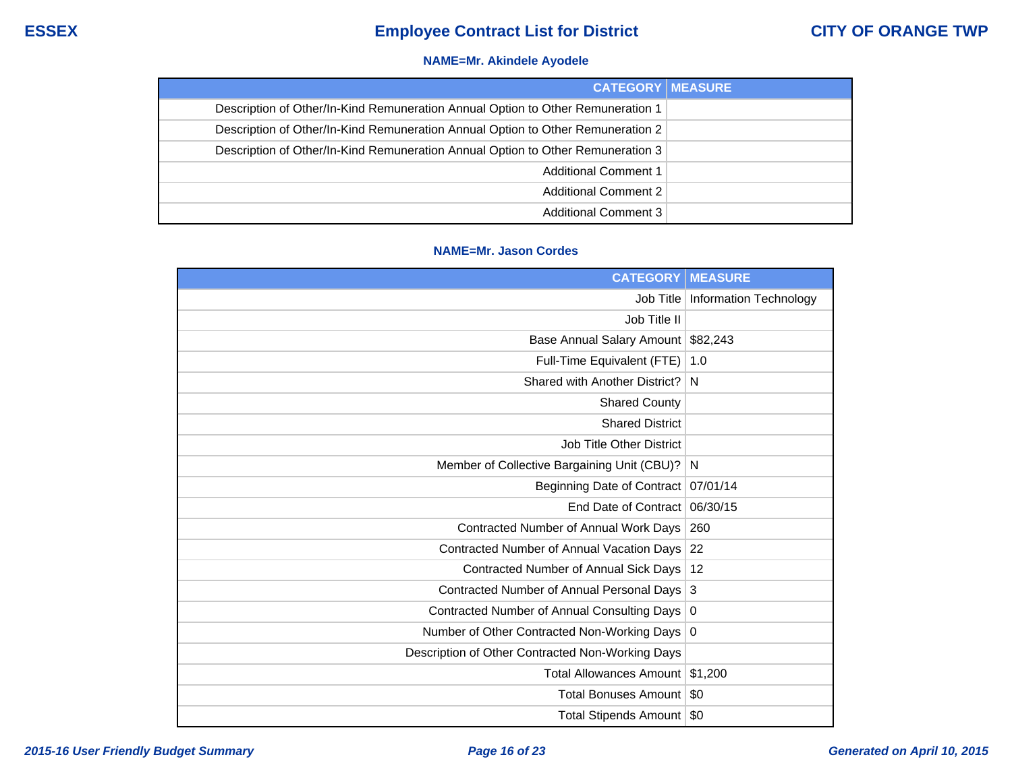### **NAME=Mr. Akindele Ayodele**

| <b>CATEGORY MEASURE</b>                                                         |  |
|---------------------------------------------------------------------------------|--|
| Description of Other/In-Kind Remuneration Annual Option to Other Remuneration 1 |  |
| Description of Other/In-Kind Remuneration Annual Option to Other Remuneration 2 |  |
| Description of Other/In-Kind Remuneration Annual Option to Other Remuneration 3 |  |
| <b>Additional Comment 1</b>                                                     |  |
| <b>Additional Comment 2</b>                                                     |  |
| Additional Comment 3                                                            |  |

### **NAME=Mr. Jason Cordes**

| <b>CATEGORY</b>                                  | <b>MEASURE</b>                |
|--------------------------------------------------|-------------------------------|
| Job Title                                        | <b>Information Technology</b> |
| Job Title II                                     |                               |
| Base Annual Salary Amount                        | \$82,243                      |
| Full-Time Equivalent (FTE)                       | 1.0                           |
| Shared with Another District?                    | N                             |
| <b>Shared County</b>                             |                               |
| <b>Shared District</b>                           |                               |
| <b>Job Title Other District</b>                  |                               |
| Member of Collective Bargaining Unit (CBU)?      | N                             |
| Beginning Date of Contract                       | 07/01/14                      |
| End Date of Contract                             | 06/30/15                      |
| Contracted Number of Annual Work Days            | 260                           |
| <b>Contracted Number of Annual Vacation Days</b> | 22                            |
| <b>Contracted Number of Annual Sick Days</b>     | 12                            |
| Contracted Number of Annual Personal Days        | 3                             |
| Contracted Number of Annual Consulting Days      | 0                             |
| Number of Other Contracted Non-Working Days 0    |                               |
| Description of Other Contracted Non-Working Days |                               |
| <b>Total Allowances Amount</b>                   | \$1,200                       |
| <b>Total Bonuses Amount</b>                      | \$0                           |
| Total Stipends Amount                            | \$0                           |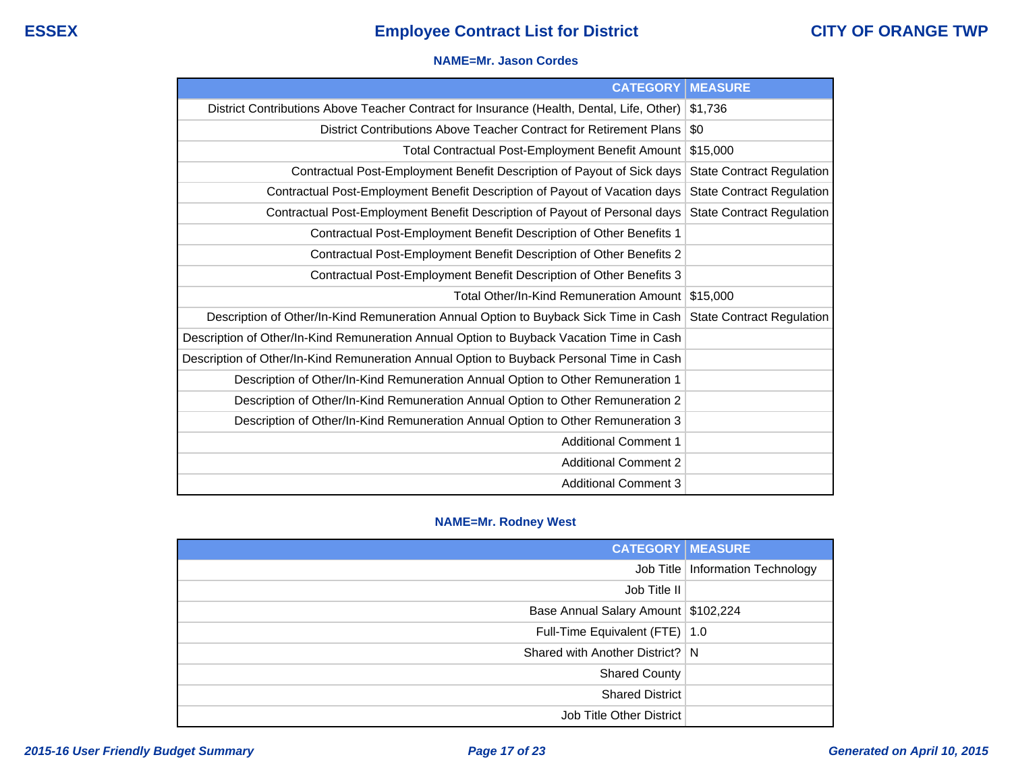#### **NAME=Mr. Jason Cordes**

| <b>CATEGORY</b>                                                                           | <b>MEASURE</b>                   |
|-------------------------------------------------------------------------------------------|----------------------------------|
| District Contributions Above Teacher Contract for Insurance (Health, Dental, Life, Other) | \$1,736                          |
| District Contributions Above Teacher Contract for Retirement Plans                        | \$0                              |
| <b>Total Contractual Post-Employment Benefit Amount</b>                                   | \$15,000                         |
| Contractual Post-Employment Benefit Description of Payout of Sick days                    | <b>State Contract Regulation</b> |
| Contractual Post-Employment Benefit Description of Payout of Vacation days                | <b>State Contract Regulation</b> |
| Contractual Post-Employment Benefit Description of Payout of Personal days                | <b>State Contract Regulation</b> |
| Contractual Post-Employment Benefit Description of Other Benefits 1                       |                                  |
| Contractual Post-Employment Benefit Description of Other Benefits 2                       |                                  |
| Contractual Post-Employment Benefit Description of Other Benefits 3                       |                                  |
| Total Other/In-Kind Remuneration Amount                                                   | \$15,000                         |
| Description of Other/In-Kind Remuneration Annual Option to Buyback Sick Time in Cash      | <b>State Contract Regulation</b> |
| Description of Other/In-Kind Remuneration Annual Option to Buyback Vacation Time in Cash  |                                  |
| Description of Other/In-Kind Remuneration Annual Option to Buyback Personal Time in Cash  |                                  |
| Description of Other/In-Kind Remuneration Annual Option to Other Remuneration 1           |                                  |
| Description of Other/In-Kind Remuneration Annual Option to Other Remuneration 2           |                                  |
| Description of Other/In-Kind Remuneration Annual Option to Other Remuneration 3           |                                  |
| <b>Additional Comment 1</b>                                                               |                                  |
| <b>Additional Comment 2</b>                                                               |                                  |
| <b>Additional Comment 3</b>                                                               |                                  |

### **NAME=Mr. Rodney West**

| <b>CATEGORY   MEASURE</b>             |                                    |
|---------------------------------------|------------------------------------|
|                                       | Job Title   Information Technology |
| Job Title II                          |                                    |
| Base Annual Salary Amount   \$102,224 |                                    |
| Full-Time Equivalent (FTE)   1.0      |                                    |
| Shared with Another District? N       |                                    |
| <b>Shared County</b>                  |                                    |
| <b>Shared District</b>                |                                    |
| Job Title Other District              |                                    |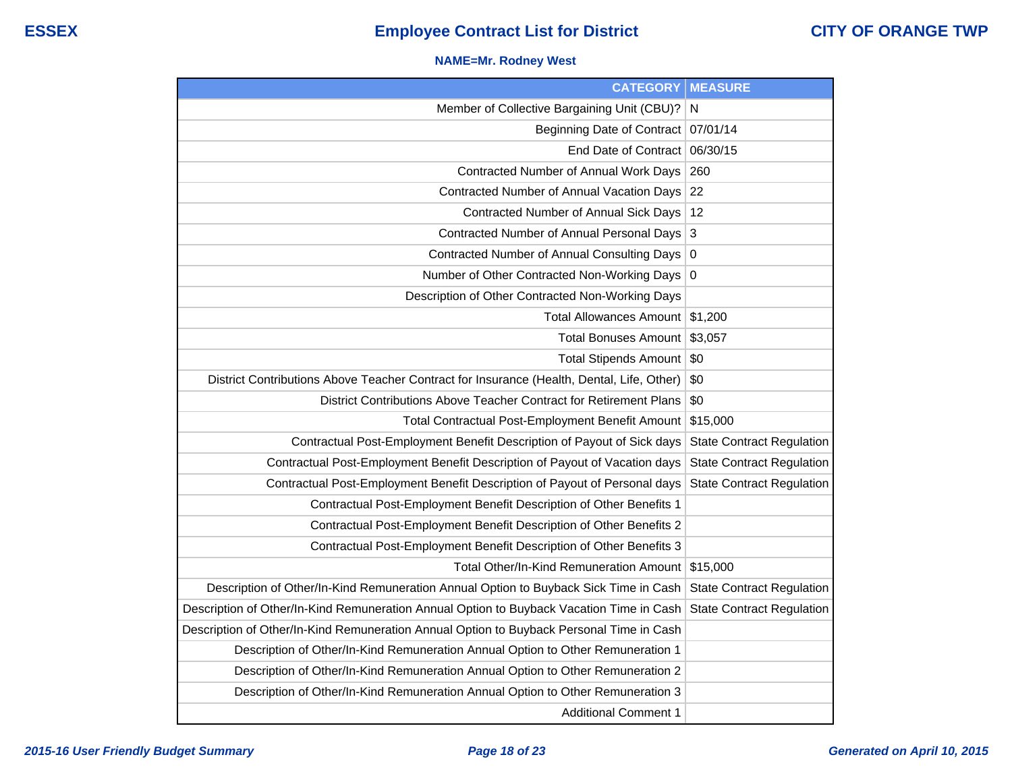### **NAME=Mr. Rodney West**

| <b>CATEGORY</b>                                                                           | <b>MEASURE</b>                   |
|-------------------------------------------------------------------------------------------|----------------------------------|
| Member of Collective Bargaining Unit (CBU)?                                               | N                                |
| Beginning Date of Contract                                                                | 07/01/14                         |
| <b>End Date of Contract</b>                                                               | 06/30/15                         |
| Contracted Number of Annual Work Days                                                     | 260                              |
| Contracted Number of Annual Vacation Days                                                 | 22                               |
| Contracted Number of Annual Sick Days                                                     | 12                               |
| Contracted Number of Annual Personal Days                                                 | 3                                |
| Contracted Number of Annual Consulting Days                                               | 0                                |
| Number of Other Contracted Non-Working Days                                               | 0                                |
| Description of Other Contracted Non-Working Days                                          |                                  |
| <b>Total Allowances Amount</b>                                                            | \$1,200                          |
| <b>Total Bonuses Amount</b>                                                               | \$3,057                          |
| Total Stipends Amount                                                                     | \$0                              |
| District Contributions Above Teacher Contract for Insurance (Health, Dental, Life, Other) | \$0                              |
| District Contributions Above Teacher Contract for Retirement Plans                        | \$0                              |
| Total Contractual Post-Employment Benefit Amount                                          | \$15,000                         |
| Contractual Post-Employment Benefit Description of Payout of Sick days                    | <b>State Contract Regulation</b> |
| Contractual Post-Employment Benefit Description of Payout of Vacation days                | <b>State Contract Regulation</b> |
| Contractual Post-Employment Benefit Description of Payout of Personal days                | <b>State Contract Regulation</b> |
| Contractual Post-Employment Benefit Description of Other Benefits 1                       |                                  |
| Contractual Post-Employment Benefit Description of Other Benefits 2                       |                                  |
| Contractual Post-Employment Benefit Description of Other Benefits 3                       |                                  |
| Total Other/In-Kind Remuneration Amount                                                   | \$15,000                         |
| Description of Other/In-Kind Remuneration Annual Option to Buyback Sick Time in Cash      | <b>State Contract Regulation</b> |
| Description of Other/In-Kind Remuneration Annual Option to Buyback Vacation Time in Cash  | <b>State Contract Regulation</b> |
| Description of Other/In-Kind Remuneration Annual Option to Buyback Personal Time in Cash  |                                  |
| Description of Other/In-Kind Remuneration Annual Option to Other Remuneration 1           |                                  |
| Description of Other/In-Kind Remuneration Annual Option to Other Remuneration 2           |                                  |
| Description of Other/In-Kind Remuneration Annual Option to Other Remuneration 3           |                                  |
| <b>Additional Comment 1</b>                                                               |                                  |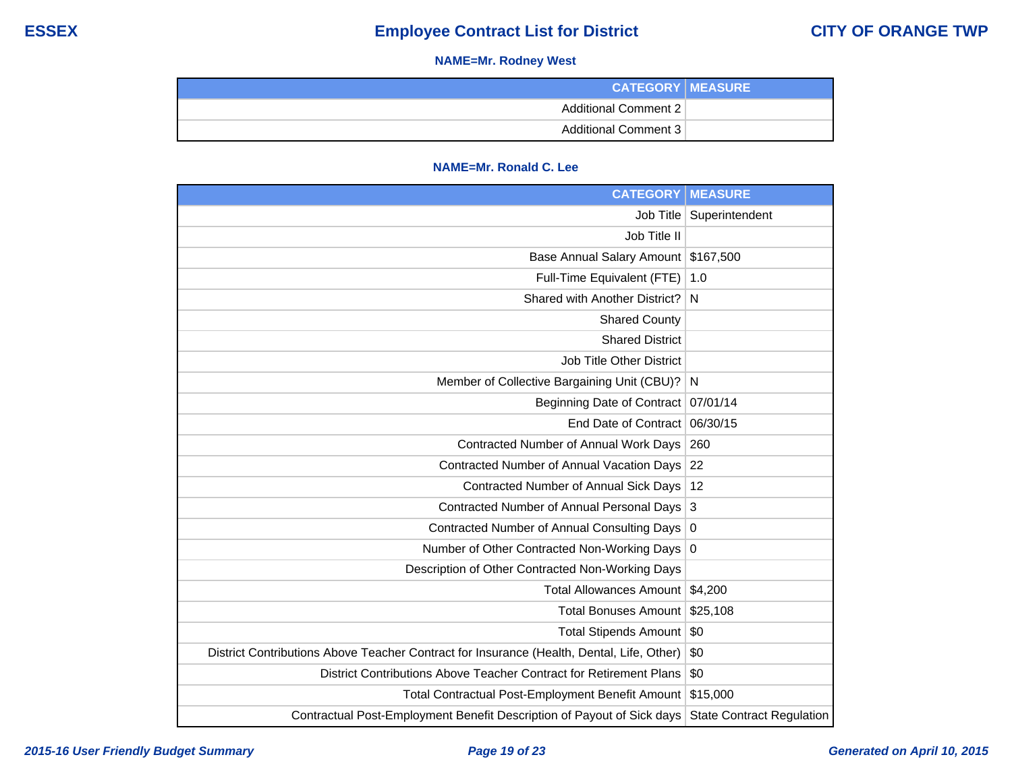### **NAME=Mr. Rodney West**

| <b>CATEGORY   MEASURE</b> |  |
|---------------------------|--|
| Additional Comment 2      |  |
| Additional Comment 3      |  |

### **NAME=Mr. Ronald C. Lee**

| <b>CATEGORY</b>                                                                           | <b>MEASURE</b>                   |
|-------------------------------------------------------------------------------------------|----------------------------------|
| Job Title                                                                                 | Superintendent                   |
| Job Title II                                                                              |                                  |
| <b>Base Annual Salary Amount</b>                                                          | \$167,500                        |
| Full-Time Equivalent (FTE)                                                                | 1.0                              |
| Shared with Another District?                                                             | N                                |
| <b>Shared County</b>                                                                      |                                  |
| <b>Shared District</b>                                                                    |                                  |
| <b>Job Title Other District</b>                                                           |                                  |
| Member of Collective Bargaining Unit (CBU)?                                               | N                                |
| <b>Beginning Date of Contract</b>                                                         | 07/01/14                         |
| End Date of Contract                                                                      | 06/30/15                         |
| Contracted Number of Annual Work Days                                                     | 260                              |
| Contracted Number of Annual Vacation Days                                                 | 22                               |
| Contracted Number of Annual Sick Days                                                     | 12                               |
| Contracted Number of Annual Personal Days                                                 | 3                                |
| Contracted Number of Annual Consulting Days                                               | 0                                |
| Number of Other Contracted Non-Working Days                                               | $\mathbf 0$                      |
| Description of Other Contracted Non-Working Days                                          |                                  |
| <b>Total Allowances Amount</b>                                                            | \$4.200                          |
| <b>Total Bonuses Amount</b>                                                               | \$25,108                         |
| <b>Total Stipends Amount</b>                                                              | \$0                              |
| District Contributions Above Teacher Contract for Insurance (Health, Dental, Life, Other) | \$0                              |
| District Contributions Above Teacher Contract for Retirement Plans                        | \$0                              |
| <b>Total Contractual Post-Employment Benefit Amount</b>                                   | \$15,000                         |
| Contractual Post-Employment Benefit Description of Payout of Sick days                    | <b>State Contract Regulation</b> |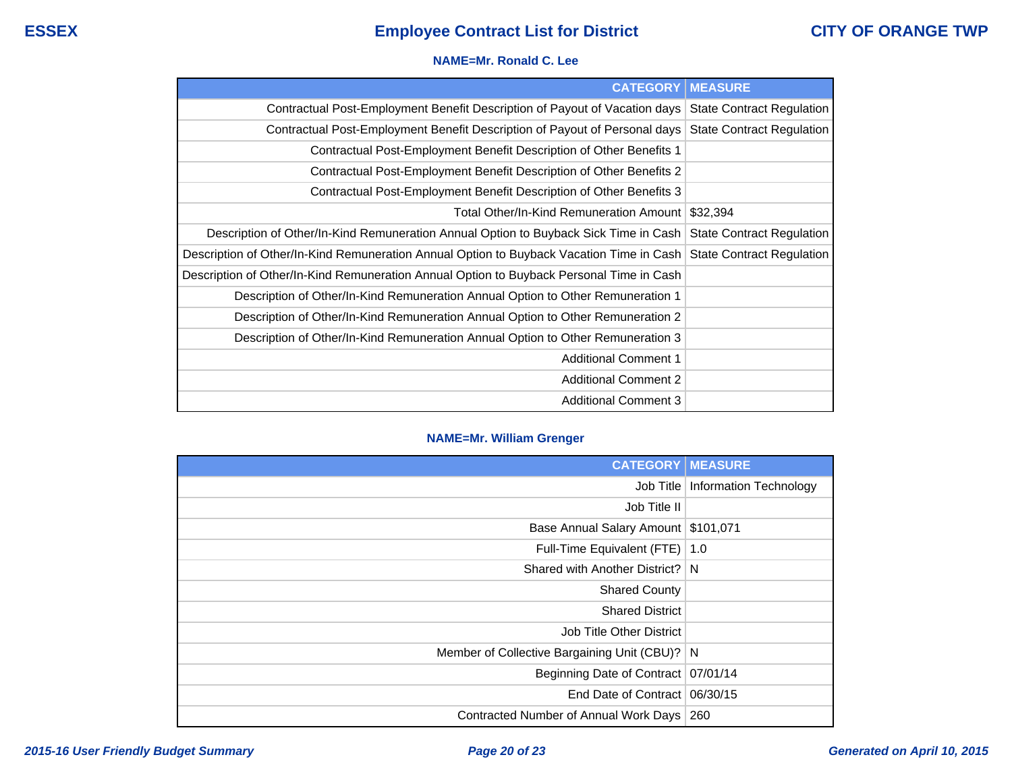#### **NAME=Mr. Ronald C. Lee**

| <b>CATEGORY</b> I                                                                        | <b>MEASURE</b>                   |
|------------------------------------------------------------------------------------------|----------------------------------|
| Contractual Post-Employment Benefit Description of Payout of Vacation days               | <b>State Contract Regulation</b> |
| Contractual Post-Employment Benefit Description of Payout of Personal days               | State Contract Regulation        |
| Contractual Post-Employment Benefit Description of Other Benefits 1                      |                                  |
| Contractual Post-Employment Benefit Description of Other Benefits 2                      |                                  |
| Contractual Post-Employment Benefit Description of Other Benefits 3                      |                                  |
| Total Other/In-Kind Remuneration Amount I                                                | \$32,394                         |
| Description of Other/In-Kind Remuneration Annual Option to Buyback Sick Time in Cash     | <b>State Contract Regulation</b> |
| Description of Other/In-Kind Remuneration Annual Option to Buyback Vacation Time in Cash | <b>State Contract Regulation</b> |
| Description of Other/In-Kind Remuneration Annual Option to Buyback Personal Time in Cash |                                  |
| Description of Other/In-Kind Remuneration Annual Option to Other Remuneration 1          |                                  |
| Description of Other/In-Kind Remuneration Annual Option to Other Remuneration 2          |                                  |
| Description of Other/In-Kind Remuneration Annual Option to Other Remuneration 3          |                                  |
| <b>Additional Comment 1</b>                                                              |                                  |
| <b>Additional Comment 2</b>                                                              |                                  |
| <b>Additional Comment 3</b>                                                              |                                  |

### **NAME=Mr. William Grenger**

| <b>CATEGORY   MEASURE</b>                     |                                    |
|-----------------------------------------------|------------------------------------|
|                                               | Job Title   Information Technology |
| Job Title II                                  |                                    |
| Base Annual Salary Amount \$101,071           |                                    |
| Full-Time Equivalent (FTE)   1.0              |                                    |
| Shared with Another District?   N             |                                    |
| <b>Shared County</b>                          |                                    |
| <b>Shared District</b>                        |                                    |
| Job Title Other District                      |                                    |
| Member of Collective Bargaining Unit (CBU)? N |                                    |
| Beginning Date of Contract   07/01/14         |                                    |
| End Date of Contract 06/30/15                 |                                    |
| Contracted Number of Annual Work Days         | 260                                |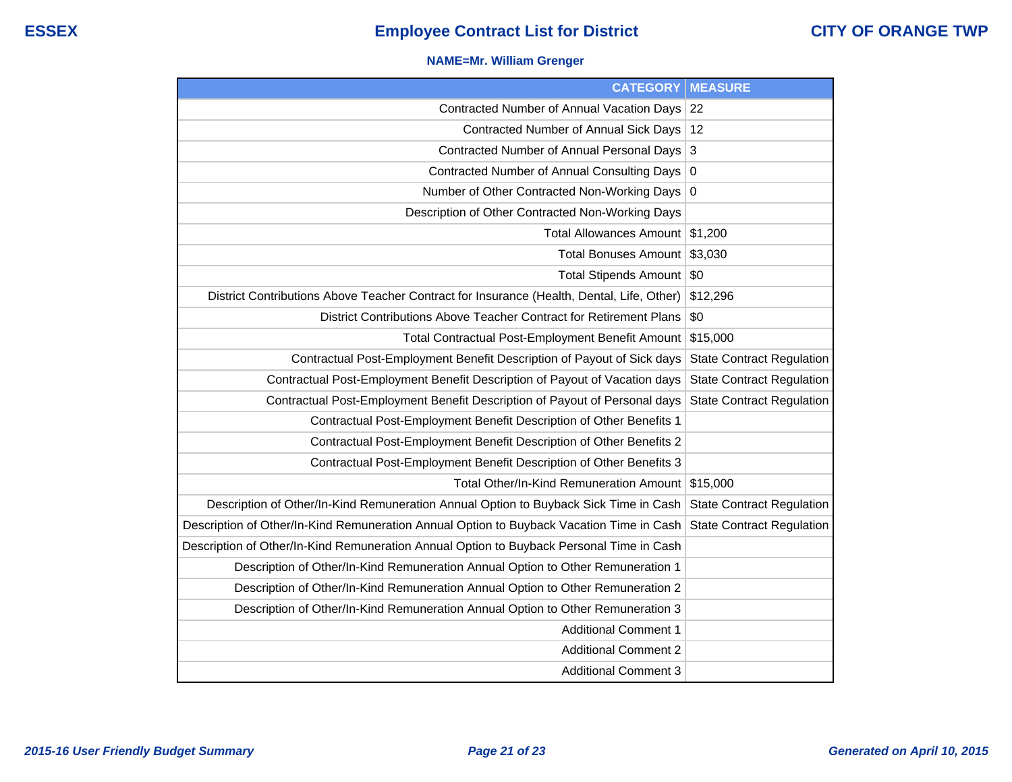### **NAME=Mr. William Grenger**

| <b>CATEGORY</b>                                                                           | <b>MEASURE</b>                   |
|-------------------------------------------------------------------------------------------|----------------------------------|
| Contracted Number of Annual Vacation Days 22                                              |                                  |
| Contracted Number of Annual Sick Days                                                     | 12                               |
| Contracted Number of Annual Personal Days                                                 | 3                                |
| Contracted Number of Annual Consulting Days                                               | 0                                |
| Number of Other Contracted Non-Working Days 0                                             |                                  |
| Description of Other Contracted Non-Working Days                                          |                                  |
| <b>Total Allowances Amount</b>                                                            | \$1,200                          |
| <b>Total Bonuses Amount</b>                                                               | \$3,030                          |
| Total Stipends Amount                                                                     | \$0                              |
| District Contributions Above Teacher Contract for Insurance (Health, Dental, Life, Other) | \$12,296                         |
| District Contributions Above Teacher Contract for Retirement Plans                        | \$0                              |
| Total Contractual Post-Employment Benefit Amount                                          | \$15,000                         |
| Contractual Post-Employment Benefit Description of Payout of Sick days                    | <b>State Contract Regulation</b> |
| Contractual Post-Employment Benefit Description of Payout of Vacation days                | <b>State Contract Regulation</b> |
| Contractual Post-Employment Benefit Description of Payout of Personal days                | <b>State Contract Regulation</b> |
| Contractual Post-Employment Benefit Description of Other Benefits 1                       |                                  |
| Contractual Post-Employment Benefit Description of Other Benefits 2                       |                                  |
| Contractual Post-Employment Benefit Description of Other Benefits 3                       |                                  |
| Total Other/In-Kind Remuneration Amount                                                   | \$15,000                         |
| Description of Other/In-Kind Remuneration Annual Option to Buyback Sick Time in Cash      | <b>State Contract Regulation</b> |
| Description of Other/In-Kind Remuneration Annual Option to Buyback Vacation Time in Cash  | <b>State Contract Regulation</b> |
| Description of Other/In-Kind Remuneration Annual Option to Buyback Personal Time in Cash  |                                  |
| Description of Other/In-Kind Remuneration Annual Option to Other Remuneration 1           |                                  |
| Description of Other/In-Kind Remuneration Annual Option to Other Remuneration 2           |                                  |
| Description of Other/In-Kind Remuneration Annual Option to Other Remuneration 3           |                                  |
| <b>Additional Comment 1</b>                                                               |                                  |
| <b>Additional Comment 2</b>                                                               |                                  |
| <b>Additional Comment 3</b>                                                               |                                  |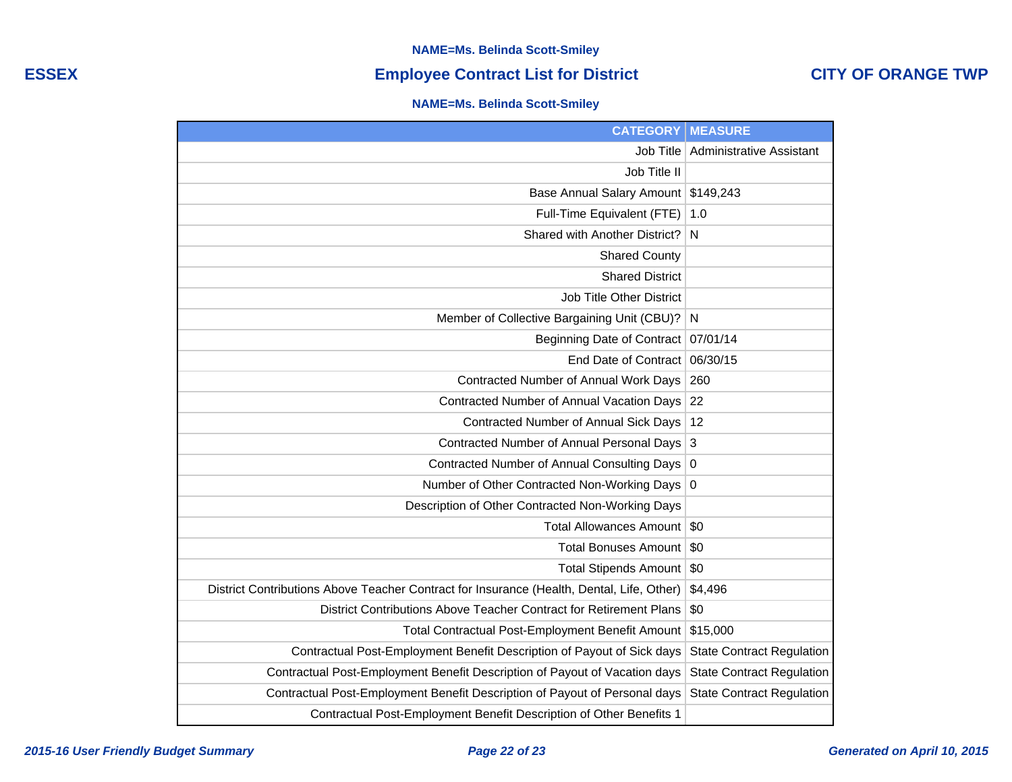### **NAME=Ms. Belinda Scott-Smiley**

## **ESSEX Employee Contract List for District CITY OF ORANGE TWP**

### **NAME=Ms. Belinda Scott-Smiley**

| <b>CATEGORY</b>                                                                           | <b>MEASURE</b>                   |
|-------------------------------------------------------------------------------------------|----------------------------------|
| Job Title                                                                                 | <b>Administrative Assistant</b>  |
| Job Title II                                                                              |                                  |
| Base Annual Salary Amount                                                                 | \$149,243                        |
| Full-Time Equivalent (FTE)                                                                | 1.0                              |
| Shared with Another District?                                                             | N                                |
| <b>Shared County</b>                                                                      |                                  |
| <b>Shared District</b>                                                                    |                                  |
| <b>Job Title Other District</b>                                                           |                                  |
| Member of Collective Bargaining Unit (CBU)?                                               | N                                |
| Beginning Date of Contract                                                                | 07/01/14                         |
| <b>End Date of Contract</b>                                                               | 06/30/15                         |
| Contracted Number of Annual Work Days                                                     | 260                              |
| <b>Contracted Number of Annual Vacation Days</b>                                          | 22                               |
| Contracted Number of Annual Sick Days                                                     | 12                               |
| Contracted Number of Annual Personal Days                                                 | 3                                |
| Contracted Number of Annual Consulting Days                                               | $\mathbf 0$                      |
| Number of Other Contracted Non-Working Days                                               | 0                                |
| Description of Other Contracted Non-Working Days                                          |                                  |
| Total Allowances Amount                                                                   | \$0                              |
| Total Bonuses Amount                                                                      | \$0                              |
| <b>Total Stipends Amount</b>                                                              | \$0                              |
| District Contributions Above Teacher Contract for Insurance (Health, Dental, Life, Other) | \$4,496                          |
| District Contributions Above Teacher Contract for Retirement Plans                        | \$0                              |
| Total Contractual Post-Employment Benefit Amount                                          | \$15,000                         |
| Contractual Post-Employment Benefit Description of Payout of Sick days                    | <b>State Contract Regulation</b> |
| Contractual Post-Employment Benefit Description of Payout of Vacation days                | <b>State Contract Regulation</b> |
| Contractual Post-Employment Benefit Description of Payout of Personal days                | <b>State Contract Regulation</b> |
| Contractual Post-Employment Benefit Description of Other Benefits 1                       |                                  |